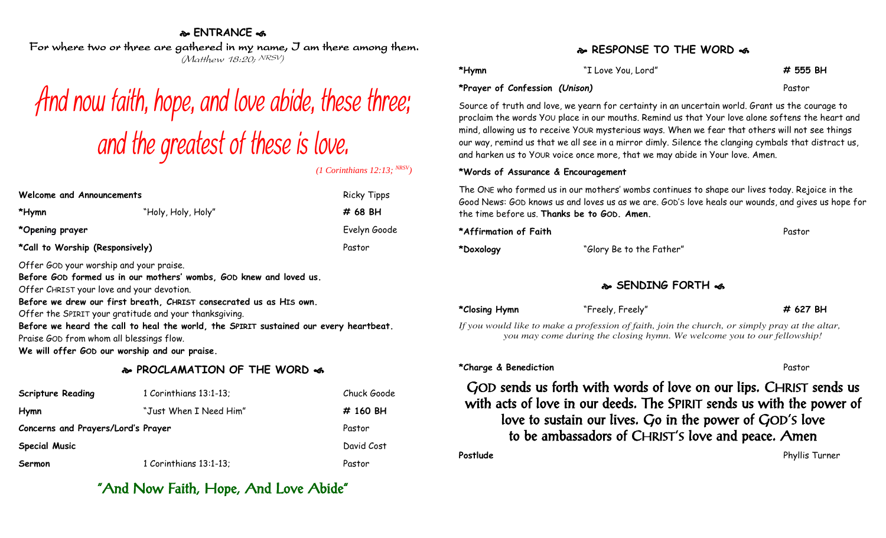#### **ENTRANCE**

For where two or three are gathered in my name, I am there among them. (Matthew 18:20; NRSV)

# find now faith, hope, and love abide, these three; and the greatest of these is love.

*(1 Corinthians 12:13; NRSV)*

| Welcome and Announcements               |                    | <b>Ricky Tipps</b> |
|-----------------------------------------|--------------------|--------------------|
| *Hymn                                   | "Holy, Holy, Holy" | # 68 BH            |
| *Opening prayer                         |                    | Evelyn Goode       |
| *Call to Worship (Responsively)         |                    | Pastor             |
| Offer GOD your worship and your praise. |                    |                    |

**Before GOD formed us in our mothers' wombs, GOD knew and loved us.**

Offer CHRIST your love and your devotion.

**Before we drew our first breath, CHRIST consecrated us as HIS own.**

Offer the SPIRIT your gratitude and your thanksgiving.

**Before we heard the call to heal the world, the SPIRIT sustained our every heartbeat.** Praise GOD from whom all blessings flow.

**We will offer GOD our worship and our praise.**

## **PROCLAMATION OF THE WORD**

| <b>Scripture Reading</b>           | 1 Corinthians 13:1-13; | Chuck Goode |
|------------------------------------|------------------------|-------------|
| Hymn                               | "Just When I Need Him" | # 160 BH    |
| Concerns and Prayers/Lord's Prayer |                        | Pastor      |
| <b>Special Music</b>               |                        | David Cost  |
| Sermon                             | 1 Corinthians 13:1-13; | Pastor      |

"And Now Faith, Hope, And Love Abide"

#### **RESPONSE TO THE WORD**

| *Hymn                          | "I Love You, Lord" | # 555 BH |
|--------------------------------|--------------------|----------|
| *Prayer of Confession (Unison) |                    | Pastor   |

Source of truth and love, we yearn for certainty in an uncertain world. Grant us the courage to proclaim the words YOU place in our mouths. Remind us that Your love alone softens the heart and mind, allowing us to receive YOUR mysterious ways. When we fear that others will not see things our way, remind us that we all see in a mirror dimly. Silence the clanging cymbals that distract us, and harken us to YOUR voice once more, that we may abide in Your love. Amen.

#### **\*Words of Assurance & Encouragement**

The ONE who formed us in our mothers' wombs continues to shape our lives today. Rejoice in the Good News: GOD knows us and loves us as we are. GOD'S love heals our wounds, and gives us hope for the time before us. **Thanks be to GOD. Amen.**

| *Affirmation of Faith |                          | Pastor |
|-----------------------|--------------------------|--------|
| *Doxology             | "Glory Be to the Father" |        |

## **SENDING FORTH**

| *Closing Hymn | "Freely, Freely" | # 627 BH |
|---------------|------------------|----------|
|               |                  |          |

*If you would like to make a profession of faith, join the church, or simply pray at the altar, you may come during the closing hymn. We welcome you to our fellowship!*

#### **\*Charge & Benediction** Pastor

GOD sends us forth with words of love on our lips. CHRIST sends us with acts of love in our deeds. The SPIRIT sends us with the power of love to sustain our lives. Go in the power of GOD'S love to be ambassadors of CHRIST'S love and peace. Amen

**Postlude** Phyllis Turner